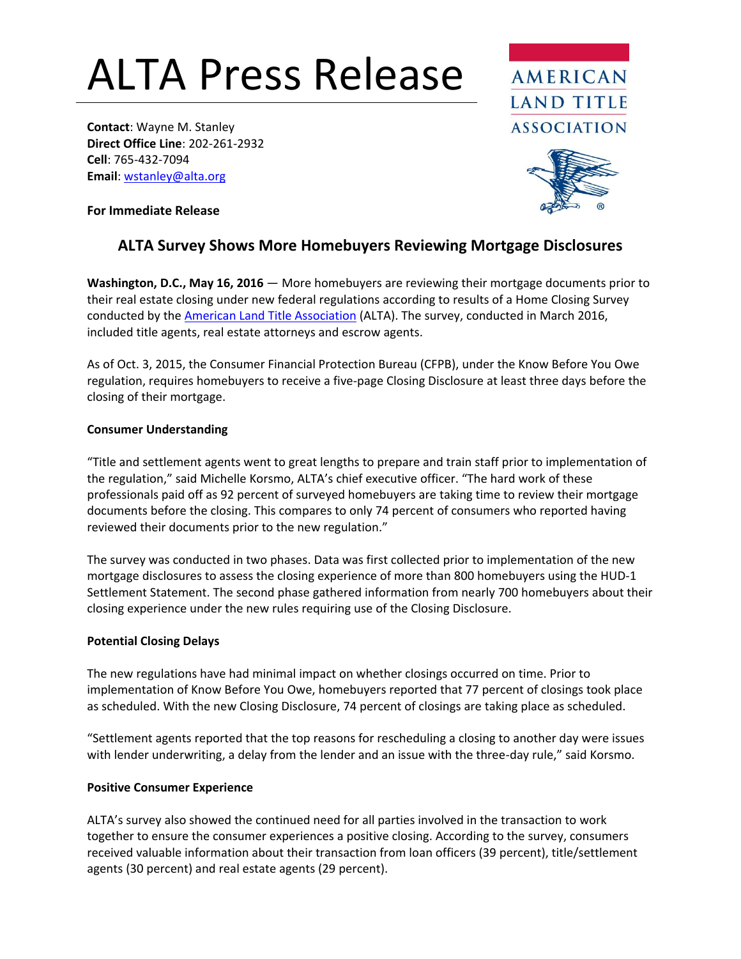# ALTA Press Release

**Contact**: Wayne M. Stanley **Direct Office Line**: 202-261-2932 **Cell**: 765-432-7094 **Email**[: wstanley@alta.org](mailto:wstanley@alta.org)



**For Immediate Release**

## **ALTA Survey Shows More Homebuyers Reviewing Mortgage Disclosures**

**Washington, D.C., May 16, 2016** — More homebuyers are reviewing their mortgage documents prior to their real estate closing under new federal regulations according to results of a Home Closing Survey conducted by the [American Land Title Association](http://www.alta.org/) (ALTA). The survey, conducted in March 2016, included title agents, real estate attorneys and escrow agents.

As of Oct. 3, 2015, the Consumer Financial Protection Bureau (CFPB), under the Know Before You Owe regulation, requires homebuyers to receive a five-page Closing Disclosure at least three days before the closing of their mortgage.

#### **Consumer Understanding**

"Title and settlement agents went to great lengths to prepare and train staff prior to implementation of the regulation," said Michelle Korsmo, ALTA's chief executive officer. "The hard work of these professionals paid off as 92 percent of surveyed homebuyers are taking time to review their mortgage documents before the closing. This compares to only 74 percent of consumers who reported having reviewed their documents prior to the new regulation."

The survey was conducted in two phases. Data was first collected prior to implementation of the new mortgage disclosures to assess the closing experience of more than 800 homebuyers using the HUD-1 Settlement Statement. The second phase gathered information from nearly 700 homebuyers about their closing experience under the new rules requiring use of the Closing Disclosure.

#### **Potential Closing Delays**

The new regulations have had minimal impact on whether closings occurred on time. Prior to implementation of Know Before You Owe, homebuyers reported that 77 percent of closings took place as scheduled. With the new Closing Disclosure, 74 percent of closings are taking place as scheduled.

"Settlement agents reported that the top reasons for rescheduling a closing to another day were issues with lender underwriting, a delay from the lender and an issue with the three-day rule," said Korsmo.

#### **Positive Consumer Experience**

ALTA's survey also showed the continued need for all parties involved in the transaction to work together to ensure the consumer experiences a positive closing. According to the survey, consumers received valuable information about their transaction from loan officers (39 percent), title/settlement agents (30 percent) and real estate agents (29 percent).